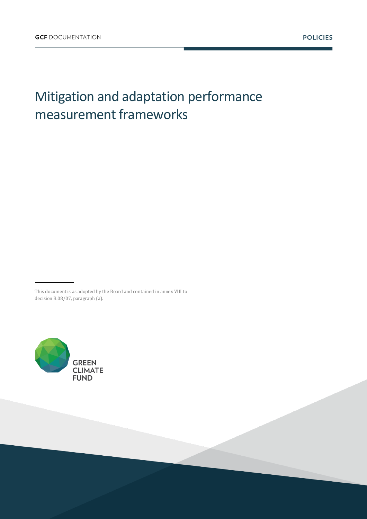# Mitigation and adaptation performance measurement frameworks

This document is as adopted by the Board and contained in annex VIII to decision B.08/07, paragraph (a).

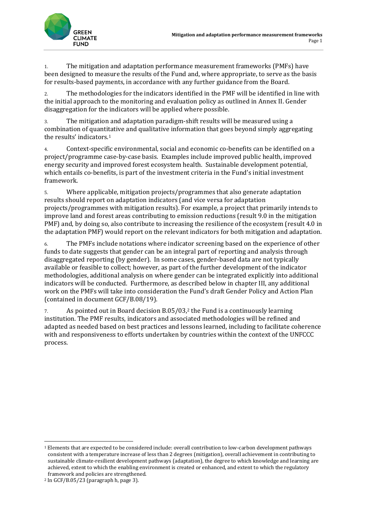

1. The mitigation and adaptation performance measurement frameworks (PMFs) have been designed to measure the results of the Fund and, where appropriate, to serve as the basis for results-based payments, in accordance with any further guidance from the Board.

2. The methodologies for the indicators identified in the PMF will be identified in line with the initial approach to the monitoring and evaluation policy as outlined in Annex II. Gender disaggregation for the indicators will be applied where possible.

3. The mitigation and adaptation paradigm-shift results will be measured using a combination of quantitative and qualitative information that goes beyond simply aggregating the results' indicators.<sup>1</sup>

4. Context-specific environmental, social and economic co-benefits can be identified on a project/programme case-by-case basis. Examples include improved public health, improved energy security and improved forest ecosystem health. Sustainable development potential, which entails co-benefits, is part of the investment criteria in the Fund's initial investment framework.

5. Where applicable, mitigation projects/programmes that also generate adaptation results should report on adaptation indicators (and vice versa for adaptation projects/programmes with mitigation results). For example, a project that primarily intends to improve land and forest areas contributing to emission reductions (result 9.0 in the mitigation PMF) and, by doing so, also contribute to increasing the resilience of the ecosystem (result 4.0 in the adaptation PMF) would report on the relevant indicators for both mitigation and adaptation.

6. The PMFs include notations where indicator screening based on the experience of other funds to date suggests that gender can be an integral part of reporting and analysis through disaggregated reporting (by gender). In some cases, gender-based data are not typically available or feasible to collect; however, as part of the further development of the indicator methodologies, additional analysis on where gender can be integrated explicitly into additional indicators will be conducted. Furthermore, as described below in chapter III, any additional work on the PMFs will take into consideration the Fund's draft Gender Policy and Action Plan (contained in document GCF/B.08/19).

7. As pointed out in Board decision B.05/03,<sup>2</sup> the Fund is a continuously learning institution. The PMF results, indicators and associated methodologies will be refined and adapted as needed based on best practices and lessons learned, including to facilitate coherence with and responsiveness to efforts undertaken by countries within the context of the UNFCCC process.

1

<sup>1</sup> Elements that are expected to be considered include: overall contribution to low-carbon development pathways consistent with a temperature increase of less than 2 degrees (mitigation), overall achievement in contributing to sustainable climate-resilient development pathways (adaptation), the degree to which knowledge and learning are achieved, extent to which the enabling environment is created or enhanced, and extent to which the regulatory framework and policies are strengthened.

<sup>2</sup> In GCF/B.05/23 (paragraph h, page 3).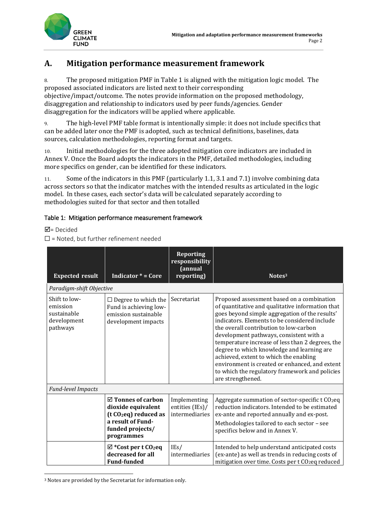

## **A. Mitigation performance measurement framework**

8. The proposed mitigation PMF in Table 1 is aligned with the mitigation logic model. The proposed associated indicators are listed next to their corresponding objective/impact/outcome. The notes provide information on the proposed methodology, disaggregation and relationship to indicators used by peer funds/agencies. Gender disaggregation for the indicators will be applied where applicable.

9. The high-level PMF table format is intentionally simple: it does not include specifics that can be added later once the PMF is adopted, such as technical definitions, baselines, data sources, calculation methodologies, reporting format and targets.

10. Initial methodologies for the three adopted mitigation core indicators are included in Annex V. Once the Board adopts the indicators in the PMF, detailed methodologies, including more specifics on gender, can be identified for these indicators.

11. Some of the indicators in this PMF (particularly 1.1, 3.1 and 7.1) involve combining data across sectors so that the indicator matches with the intended results as articulated in the logic model. In these cases, each sector's data will be calculated separately according to methodologies suited for that sector and then totalled

#### Table 1: Mitigation performance measurement framework

 $\overline{\mathbf{M}}$  = Decided

**.** 

 $\Box$  = Noted, but further refinement needed

| <b>Expected result</b>                                              | Indicator $* = \text{Core}$                                                                                                                    | <b>Reporting</b><br>responsibility<br>(annual<br>reporting) | Notes <sup>3</sup>                                                                                                                                                                                                                                                                                                                                                                                                                                                                                                                                          |
|---------------------------------------------------------------------|------------------------------------------------------------------------------------------------------------------------------------------------|-------------------------------------------------------------|-------------------------------------------------------------------------------------------------------------------------------------------------------------------------------------------------------------------------------------------------------------------------------------------------------------------------------------------------------------------------------------------------------------------------------------------------------------------------------------------------------------------------------------------------------------|
| Paradigm-shift Objective                                            |                                                                                                                                                |                                                             |                                                                                                                                                                                                                                                                                                                                                                                                                                                                                                                                                             |
| Shift to low-<br>emission<br>sustainable<br>development<br>pathways | $\Box$ Degree to which the<br>Fund is achieving low-<br>emission sustainable<br>development impacts                                            | Secretariat                                                 | Proposed assessment based on a combination<br>of quantitative and qualitative information that<br>goes beyond simple aggregation of the results'<br>indicators. Elements to be considered include<br>the overall contribution to low-carbon<br>development pathways, consistent with a<br>temperature increase of less than 2 degrees, the<br>degree to which knowledge and learning are<br>achieved, extent to which the enabling<br>environment is created or enhanced, and extent<br>to which the regulatory framework and policies<br>are strengthened. |
| <b>Fund-level Impacts</b>                                           |                                                                                                                                                |                                                             |                                                                                                                                                                                                                                                                                                                                                                                                                                                                                                                                                             |
|                                                                     | $\boxtimes$ Tonnes of carbon<br>dioxide equivalent<br>(t CO <sub>2</sub> eq) reduced as<br>a result of Fund-<br>funded projects/<br>programmes | Implementing<br>entities (IEs)/<br>intermediaries           | Aggregate summation of sector-specific t CO <sub>2</sub> eq<br>reduction indicators. Intended to be estimated<br>ex-ante and reported annually and ex-post.<br>Methodologies tailored to each sector - see<br>specifics below and in Annex V.                                                                                                                                                                                                                                                                                                               |
|                                                                     | $\boxtimes$ *Cost per t CO <sub>2</sub> eq<br>decreased for all<br><b>Fund-funded</b>                                                          | IEs/<br>intermediaries                                      | Intended to help understand anticipated costs<br>(ex-ante) as well as trends in reducing costs of<br>mitigation over time. Costs per t CO <sub>2</sub> eq reduced                                                                                                                                                                                                                                                                                                                                                                                           |

<sup>3</sup> Notes are provided by the Secretariat for information only.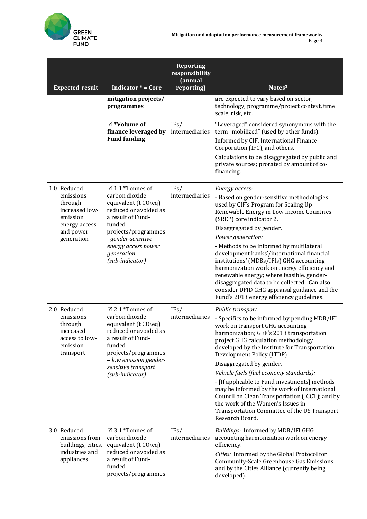

| <b>Expected result</b>                                                                                        | <b>Indicator * = Core</b>                                                                                                                                                                                                                     | <b>Reporting</b><br>responsibility<br>(annual<br>reporting) | Notes <sup>3</sup>                                                                                                                                                                                                                                                                                                                                                                                                                                                                                                                                                                                          |
|---------------------------------------------------------------------------------------------------------------|-----------------------------------------------------------------------------------------------------------------------------------------------------------------------------------------------------------------------------------------------|-------------------------------------------------------------|-------------------------------------------------------------------------------------------------------------------------------------------------------------------------------------------------------------------------------------------------------------------------------------------------------------------------------------------------------------------------------------------------------------------------------------------------------------------------------------------------------------------------------------------------------------------------------------------------------------|
|                                                                                                               | mitigation projects/<br>programmes                                                                                                                                                                                                            |                                                             | are expected to vary based on sector,<br>technology, programme/project context, time<br>scale, risk, etc.                                                                                                                                                                                                                                                                                                                                                                                                                                                                                                   |
|                                                                                                               | $\boxtimes$ *Volume of<br>finance leveraged by<br><b>Fund funding</b>                                                                                                                                                                         | IEs/<br>intermediaries                                      | "Leveraged" considered synonymous with the<br>term "mobilized" (used by other funds).<br>Informed by CIF, International Finance<br>Corporation (IFC), and others.<br>Calculations to be disaggregated by public and<br>private sources; prorated by amount of co-<br>financing.                                                                                                                                                                                                                                                                                                                             |
| 1.0 Reduced<br>emissions<br>through<br>increased low-<br>emission<br>energy access<br>and power<br>generation | $\boxtimes$ 1.1 *Tonnes of<br>carbon dioxide<br>equivalent (t CO <sub>2</sub> eq)<br>reduced or avoided as<br>a result of Fund-<br>funded<br>projects/programmes<br>-gender-sensitive<br>energy access power<br>generation<br>(sub-indicator) | IEs/<br>intermediaries                                      | Energy access:<br>- Based on gender-sensitive methodologies<br>used by CIF's Program for Scaling Up<br>Renewable Energy in Low Income Countries<br>(SREP) core indicator 2.<br>Disaggregated by gender.<br>Power generation:<br>- Methods to be informed by multilateral<br>development banks'/international financial<br>institutions' (MDBs/IFIs) GHG accounting<br>harmonization work on energy efficiency and<br>renewable energy; where feasible, gender-<br>disaggregated data to be collected. Can also<br>consider DFID GHG appraisal guidance and the<br>Fund's 2013 energy efficiency guidelines. |
| 2.0 Reduced<br>emissions<br>through<br>increased<br>access to low-<br>emission<br>transport                   | $\boxtimes$ 2.1 *Tonnes of<br>carbon dioxide<br>equivalent (t CO <sub>2</sub> eq)<br>reduced or avoided as<br>a result of Fund-<br>funded<br>projects/programmes<br>- low emission gender-<br>sensitive transport<br>(sub-indicator)          | IEs/<br>intermediaries                                      | Public transport:<br>- Specifics to be informed by pending MDB/IFI<br>work on transport GHG accounting<br>harmonization; GEF's 2013 transportation<br>project GHG calculation methodology<br>developed by the Institute for Transportation<br>Development Policy (ITDP)<br>Disaggregated by gender.<br>Vehicle fuels (fuel economy standards):<br>- [If applicable to Fund investments] methods<br>may be informed by the work of International<br>Council on Clean Transportation (ICCT); and by<br>the work of the Women's Issues in<br>Transportation Committee of the US Transport<br>Research Board.   |
| 3.0 Reduced<br>emissions from<br>buildings, cities,<br>industries and<br>appliances                           | $\boxtimes$ 3.1 *Tonnes of<br>carbon dioxide<br>equivalent (t CO <sub>2</sub> eq)<br>reduced or avoided as<br>a result of Fund-<br>funded<br>projects/programmes                                                                              | IEs/<br>intermediaries                                      | Buildings: Informed by MDB/IFI GHG<br>accounting harmonization work on energy<br>efficiency.<br>Cities: Informed by the Global Protocol for<br><b>Community-Scale Greenhouse Gas Emissions</b><br>and by the Cities Alliance (currently being<br>developed).                                                                                                                                                                                                                                                                                                                                                |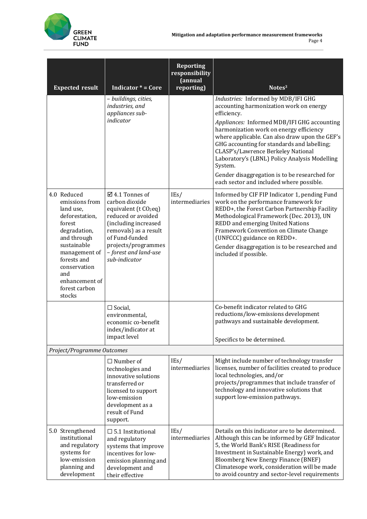

| <b>Expected result</b>                                                                                                                                                                                                   | <b>Indicator <math>* = \text{Core}</math></b>                                                                                                                                                                                              | <b>Reporting</b><br>responsibility<br>(annual<br>reporting) | Notes <sup>3</sup>                                                                                                                                                                                                                                                                                                                                                                     |
|--------------------------------------------------------------------------------------------------------------------------------------------------------------------------------------------------------------------------|--------------------------------------------------------------------------------------------------------------------------------------------------------------------------------------------------------------------------------------------|-------------------------------------------------------------|----------------------------------------------------------------------------------------------------------------------------------------------------------------------------------------------------------------------------------------------------------------------------------------------------------------------------------------------------------------------------------------|
|                                                                                                                                                                                                                          | - buildings, cities,<br>industries, and<br>appliances sub-                                                                                                                                                                                 |                                                             | Industries: Informed by MDB/IFI GHG<br>accounting harmonization work on energy<br>efficiency.                                                                                                                                                                                                                                                                                          |
|                                                                                                                                                                                                                          | indicator                                                                                                                                                                                                                                  |                                                             | Appliances: Informed MDB/IFI GHG accounting<br>harmonization work on energy efficiency<br>where applicable. Can also draw upon the GEF's<br>GHG accounting for standards and labelling;<br>CLASP's/Lawrence Berkeley National<br>Laboratory's (LBNL) Policy Analysis Modelling<br>System.<br>Gender disaggregation is to be researched for<br>each sector and included where possible. |
| 4.0 Reduced<br>emissions from<br>land use,<br>deforestation,<br>forest<br>degradation,<br>and through<br>sustainable<br>management of<br>forests and<br>conservation<br>and<br>enhancement of<br>forest carbon<br>stocks | $\boxtimes$ 4.1 Tonnes of<br>carbon dioxide<br>equivalent (t CO <sub>2</sub> eq)<br>reduced or avoided<br>(including increased<br>removals) as a result<br>of Fund-funded<br>projects/programmes<br>- forest and land-use<br>sub-indicator | IEs/<br>intermediaries                                      | Informed by CIF FIP Indicator 1, pending Fund<br>work on the performance framework for<br>REDD+, the Forest Carbon Partnership Facility<br>Methodological Framework (Dec. 2013), UN<br><b>REDD</b> and emerging United Nations<br>Framework Convention on Climate Change<br>(UNFCCC) guidance on REDD+.<br>Gender disaggregation is to be researched and<br>included if possible.      |
|                                                                                                                                                                                                                          | $\Box$ Social,<br>environmental,<br>economic co-benefit<br>index/indicator at<br>impact level                                                                                                                                              |                                                             | Co-benefit indicator related to GHG<br>reductions/low-emissions development<br>pathways and sustainable development.<br>Specifics to be determined.                                                                                                                                                                                                                                    |
| Project/Programme Outcomes                                                                                                                                                                                               |                                                                                                                                                                                                                                            |                                                             |                                                                                                                                                                                                                                                                                                                                                                                        |
|                                                                                                                                                                                                                          | $\Box$ Number of<br>technologies and<br>innovative solutions<br>transferred or<br>licensed to support<br>low-emission<br>development as a<br>result of Fund<br>support.                                                                    | IEs/<br>intermediaries                                      | Might include number of technology transfer<br>licenses, number of facilities created to produce<br>local technologies, and/or<br>projects/programmes that include transfer of<br>technology and innovative solutions that<br>support low-emission pathways.                                                                                                                           |
| 5.0 Strengthened<br>institutional<br>and regulatory<br>systems for<br>low-emission<br>planning and<br>development                                                                                                        | $\Box$ 5.1 Institutional<br>and regulatory<br>systems that improve<br>incentives for low-<br>emission planning and<br>development and<br>their effective                                                                                   | IEs/<br>intermediaries                                      | Details on this indicator are to be determined.<br>Although this can be informed by GEF Indicator<br>5, the World Bank's RISE (Readiness for<br>Investment in Sustainable Energy) work, and<br><b>Bloomberg New Energy Finance (BNEF)</b><br>Climatesope work, consideration will be made<br>to avoid country and sector-level requirements                                            |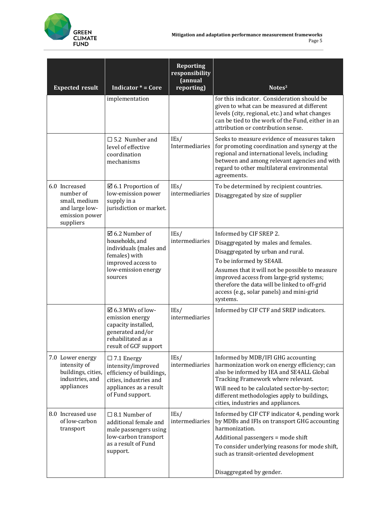

| <b>Expected result</b>                                                                       | <b>Indicator <math>* = \text{Core}</math></b>                                                                                                   | <b>Reporting</b><br>responsibility<br>(annual<br>reporting) | Notes <sup>3</sup>                                                                                                                                                                                                                                                                                                                        |
|----------------------------------------------------------------------------------------------|-------------------------------------------------------------------------------------------------------------------------------------------------|-------------------------------------------------------------|-------------------------------------------------------------------------------------------------------------------------------------------------------------------------------------------------------------------------------------------------------------------------------------------------------------------------------------------|
|                                                                                              | implementation                                                                                                                                  |                                                             | for this indicator. Consideration should be<br>given to what can be measured at different<br>levels (city, regional, etc.) and what changes<br>can be tied to the work of the Fund, either in an<br>attribution or contribution sense.                                                                                                    |
|                                                                                              | $\square$ 5.2 Number and<br>level of effective<br>coordination<br>mechanisms                                                                    | IEs/<br>Intermediaries                                      | Seeks to measure evidence of measures taken<br>for promoting coordination and synergy at the<br>regional and international levels, including<br>between and among relevant agencies and with<br>regard to other multilateral environmental<br>agreements.                                                                                 |
| 6.0 Increased<br>number of<br>small, medium<br>and large low-<br>emission power<br>suppliers | $\boxtimes$ 6.1 Proportion of<br>low-emission power<br>supply in a<br>jurisdiction or market.                                                   | IEs/<br>intermediaries                                      | To be determined by recipient countries.<br>Disaggregated by size of supplier                                                                                                                                                                                                                                                             |
|                                                                                              | $\boxtimes$ 6.2 Number of<br>households, and<br>individuals (males and<br>females) with<br>improved access to<br>low-emission energy<br>sources | IEs/<br>intermediaries                                      | Informed by CIF SREP 2.<br>Disaggregated by males and females.<br>Disaggregated by urban and rural.<br>To be informed by SE4All.<br>Assumes that it will not be possible to measure<br>improved access from large-grid systems;<br>therefore the data will be linked to off-grid<br>access (e.g., solar panels) and mini-grid<br>systems. |
|                                                                                              | $\boxtimes$ 6.3 MWs of low-<br>emission energy<br>capacity installed,<br>generated and/or<br>rehabilitated as a<br>result of GCF support        | IEs/<br>intermediaries                                      | Informed by CIF CTF and SREP indicators.                                                                                                                                                                                                                                                                                                  |
| 7.0 Lower energy<br>intensity of<br>buildings, cities,<br>industries, and<br>appliances      | $\Box$ 7.1 Energy<br>intensity/improved<br>efficiency of buildings,<br>cities, industries and<br>appliances as a result<br>of Fund support.     | IEs/<br>intermediaries                                      | Informed by MDB/IFI GHG accounting<br>harmonization work on energy efficiency; can<br>also be informed by IEA and SE4ALL Global<br>Tracking Framework where relevant.<br>Will need to be calculated sector-by-sector;<br>different methodologies apply to buildings,<br>cities, industries and appliances.                                |
| 8.0 Increased use<br>of low-carbon<br>transport                                              | $\Box$ 8.1 Number of<br>additional female and<br>male passengers using<br>low-carbon transport<br>as a result of Fund<br>support.               | IEs/<br>intermediaries                                      | Informed by CIF CTF indicator 4, pending work<br>by MDBs and IFIs on transport GHG accounting<br>harmonization.<br>Additional passengers = mode shift<br>To consider underlying reasons for mode shift,<br>such as transit-oriented development<br>Disaggregated by gender.                                                               |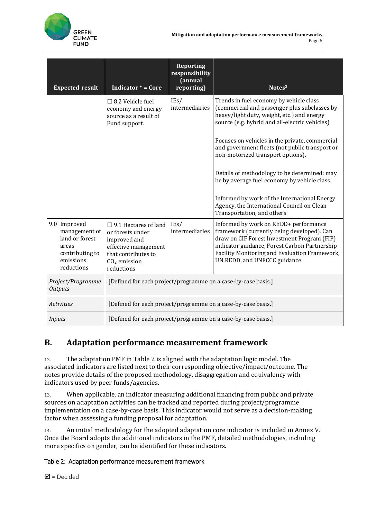| <b>Expected result</b>                                                                                 | <b>Indicator <math>* = \text{Core}</math></b>                                                                                                     | <b>Reporting</b><br>responsibility<br>(annual<br>reporting) | Notes <sup>3</sup>                                                                                                                                                                                                                                                    |
|--------------------------------------------------------------------------------------------------------|---------------------------------------------------------------------------------------------------------------------------------------------------|-------------------------------------------------------------|-----------------------------------------------------------------------------------------------------------------------------------------------------------------------------------------------------------------------------------------------------------------------|
|                                                                                                        | $\Box$ 8.2 Vehicle fuel<br>economy and energy<br>source as a result of<br>Fund support.                                                           | IEs/<br>intermediaries                                      | Trends in fuel economy by vehicle class<br>(commercial and passenger plus subclasses by<br>heavy/light duty, weight, etc.) and energy<br>source (e.g. hybrid and all-electric vehicles)                                                                               |
|                                                                                                        |                                                                                                                                                   |                                                             | Focuses on vehicles in the private, commercial<br>and government fleets (not public transport or<br>non-motorized transport options).                                                                                                                                 |
|                                                                                                        |                                                                                                                                                   |                                                             | Details of methodology to be determined: may<br>be by average fuel economy by vehicle class.                                                                                                                                                                          |
|                                                                                                        |                                                                                                                                                   |                                                             | Informed by work of the International Energy<br>Agency, the International Council on Clean<br>Transportation, and others                                                                                                                                              |
| 9.0 Improved<br>management of<br>land or forest<br>areas<br>contributing to<br>emissions<br>reductions | $\square$ 9.1 Hectares of land<br>or forests under<br>improved and<br>effective management<br>that contributes to<br>$CO2$ emission<br>reductions | IEs/<br>intermediaries                                      | Informed by work on REDD+ performance<br>framework (currently being developed). Can<br>draw on CIF Forest Investment Program (FIP)<br>indicator guidance, Forest Carbon Partnership<br>Facility Monitoring and Evaluation Framework,<br>UN REDD, and UNFCCC guidance. |
| Project/Programme<br><b>Outputs</b>                                                                    | [Defined for each project/programme on a case-by-case basis.]                                                                                     |                                                             |                                                                                                                                                                                                                                                                       |
| <b>Activities</b>                                                                                      | [Defined for each project/programme on a case-by-case basis.]                                                                                     |                                                             |                                                                                                                                                                                                                                                                       |
| Inputs                                                                                                 | [Defined for each project/programme on a case-by-case basis.]                                                                                     |                                                             |                                                                                                                                                                                                                                                                       |

## **B. Adaptation performance measurement framework**

12. The adaptation PMF in Table 2 is aligned with the adaptation logic model. The associated indicators are listed next to their corresponding objective/impact/outcome. The notes provide details of the proposed methodology, disaggregation and equivalency with indicators used by peer funds/agencies.

13. When applicable, an indicator measuring additional financing from public and private sources on adaptation activities can be tracked and reported during project/programme implementation on a case-by-case basis. This indicator would not serve as a decision-making factor when assessing a funding proposal for adaptation.

14. An initial methodology for the adopted adaptation core indicator is included in Annex V. Once the Board adopts the additional indicators in the PMF, detailed methodologies, including more specifics on gender, can be identified for these indicators.

### Table 2: Adaptation performance measurement framework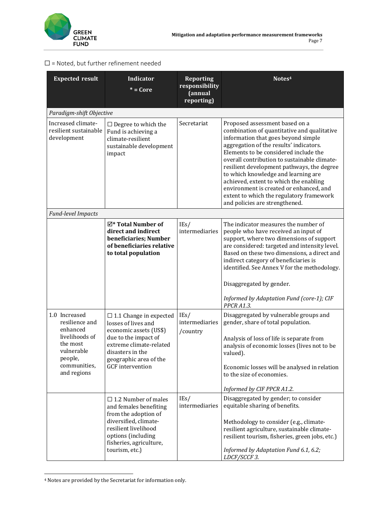

| <b>Expected result</b>                                                                                                            | <b>Indicator</b><br>$* = Core$                                                                                                                                                                             | <b>Reporting</b><br>responsibility<br>(annual<br>reporting) | Notes <sup>4</sup>                                                                                                                                                                                                                                                                                                                                                                                                                                                                                               |
|-----------------------------------------------------------------------------------------------------------------------------------|------------------------------------------------------------------------------------------------------------------------------------------------------------------------------------------------------------|-------------------------------------------------------------|------------------------------------------------------------------------------------------------------------------------------------------------------------------------------------------------------------------------------------------------------------------------------------------------------------------------------------------------------------------------------------------------------------------------------------------------------------------------------------------------------------------|
| Paradigm-shift Objective                                                                                                          |                                                                                                                                                                                                            |                                                             |                                                                                                                                                                                                                                                                                                                                                                                                                                                                                                                  |
| Increased climate-<br>resilient sustainable<br>development                                                                        | $\Box$ Degree to which the<br>Fund is achieving a<br>climate-resilient<br>sustainable development<br>impact                                                                                                | Secretariat                                                 | Proposed assessment based on a<br>combination of quantitative and qualitative<br>information that goes beyond simple<br>aggregation of the results' indicators.<br>Elements to be considered include the<br>overall contribution to sustainable climate-<br>resilient development pathways, the degree<br>to which knowledge and learning are<br>achieved, extent to which the enabling<br>environment is created or enhanced, and<br>extent to which the regulatory framework<br>and policies are strengthened. |
| Fund-level Impacts                                                                                                                |                                                                                                                                                                                                            |                                                             |                                                                                                                                                                                                                                                                                                                                                                                                                                                                                                                  |
|                                                                                                                                   | $\boxtimes^*$ Total Number of<br>direct and indirect<br>beneficiaries; Number<br>of beneficiaries relative<br>to total population                                                                          | IEs/<br>intermediaries                                      | The indicator measures the number of<br>people who have received an input of<br>support, where two dimensions of support<br>are considered: targeted and intensity level.<br>Based on these two dimensions, a direct and<br>indirect category of beneficiaries is<br>identified. See Annex V for the methodology.<br>Disaggregated by gender.<br>Informed by Adaptation Fund (core-1); CIF<br>PPCR A1.3.                                                                                                         |
| 1.0 Increased<br>resilience and<br>enhanced<br>livelihoods of<br>the most<br>vulnerable<br>people,<br>communities,<br>and regions | $\Box$ 1.1 Change in expected<br>losses of lives and<br>economic assets (US\$)<br>due to the impact of<br>extreme climate-related<br>disasters in the<br>geographic area of the<br><b>GCF</b> intervention | IEs/<br>intermediaries<br>/country                          | Disaggregated by vulnerable groups and<br>gender, share of total population.<br>Analysis of loss of life is separate from<br>analysis of economic losses (lives not to be<br>valued).<br>Economic losses will be analysed in relation<br>to the size of economies.<br>Informed by CIF PPCR A1.2.                                                                                                                                                                                                                 |
|                                                                                                                                   | $\Box$ 1.2 Number of males<br>and females benefiting<br>from the adoption of<br>diversified, climate-<br>resilient livelihood<br>options (including<br>fisheries, agriculture,<br>tourism, etc.)           | IEs/<br>intermediaries                                      | Disaggregated by gender; to consider<br>equitable sharing of benefits.<br>Methodology to consider (e.g., climate-<br>resilient agriculture, sustainable climate-<br>resilient tourism, fisheries, green jobs, etc.)<br>Informed by Adaptation Fund 6.1, 6.2;<br>LDCF/SCCF 3.                                                                                                                                                                                                                                     |

#### $\square$  = Noted, but further refinement needed

**.** 

<sup>4</sup> Notes are provided by the Secretariat for information only.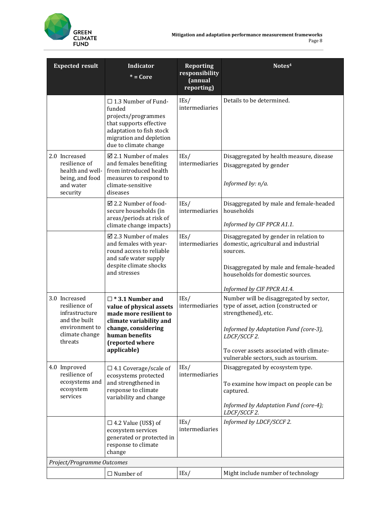

| <b>Expected result</b>                                                                                           | Indicator<br>$* = Core$                                                                                                                                                                | <b>Reporting</b><br>responsibility<br>(annual<br>reporting) | Notes <sup>4</sup>                                                                                                                                                                                                                                                                 |
|------------------------------------------------------------------------------------------------------------------|----------------------------------------------------------------------------------------------------------------------------------------------------------------------------------------|-------------------------------------------------------------|------------------------------------------------------------------------------------------------------------------------------------------------------------------------------------------------------------------------------------------------------------------------------------|
|                                                                                                                  | $\Box$ 1.3 Number of Fund-<br>funded<br>projects/programmes<br>that supports effective<br>adaptation to fish stock<br>migration and depletion<br>due to climate change                 | IEs/<br>intermediaries                                      | Details to be determined.                                                                                                                                                                                                                                                          |
| 2.0 Increased<br>resilience of<br>health and well-<br>being, and food<br>and water<br>security                   | $\boxtimes$ 2.1 Number of males<br>and females benefiting<br>from introduced health<br>measures to respond to<br>climate-sensitive<br>diseases                                         | IEs/<br>intermediaries                                      | Disaggregated by health measure, disease<br>Disaggregated by gender<br>Informed by: n/a.                                                                                                                                                                                           |
|                                                                                                                  | ☑ 2.2 Number of food-<br>secure households (in<br>areas/periods at risk of<br>climate change impacts)                                                                                  | IEs/<br>intermediaries                                      | Disaggregated by male and female-headed<br>households<br>Informed by CIF PPCR A1.1.                                                                                                                                                                                                |
|                                                                                                                  | $\boxtimes$ 2.3 Number of males<br>and females with year-<br>round access to reliable<br>and safe water supply<br>despite climate shocks<br>and stresses                               | IEs/<br>intermediaries                                      | Disaggregated by gender in relation to<br>domestic, agricultural and industrial<br>sources.<br>Disaggregated by male and female-headed<br>households for domestic sources.                                                                                                         |
| 3.0 Increased<br>resilience of<br>infrastructure<br>and the built<br>environment to<br>climate change<br>threats | $\square$ * 3.1 Number and<br>value of physical assets<br>made more resilient to<br>climate variability and<br>change, considering<br>human benefits<br>(reported where<br>applicable) | IEs/<br>intermediaries                                      | Informed by CIF PPCR A1.4.<br>Number will be disaggregated by sector,<br>type of asset, action (constructed or<br>strengthened), etc.<br>Informed by Adaptation Fund (core-3),<br>LDCF/SCCF 2.<br>To cover assets associated with climate-<br>vulnerable sectors, such as tourism. |
| 4.0 Improved<br>resilience of<br>ecosystems and<br>ecosystem<br>services                                         | $\Box$ 4.1 Coverage/scale of<br>ecosystems protected<br>and strengthened in<br>response to climate<br>variability and change                                                           | IEs/<br>intermediaries                                      | Disaggregated by ecosystem type.<br>To examine how impact on people can be<br>captured.<br>Informed by Adaptation Fund (core-4);<br>LDCF/SCCF 2.                                                                                                                                   |
|                                                                                                                  | $\Box$ 4.2 Value (US\$) of<br>ecosystem services<br>generated or protected in<br>response to climate<br>change                                                                         | IEs/<br>intermediaries                                      | Informed by LDCF/SCCF 2.                                                                                                                                                                                                                                                           |
| Project/Programme Outcomes                                                                                       |                                                                                                                                                                                        |                                                             |                                                                                                                                                                                                                                                                                    |
|                                                                                                                  | $\Box$ Number of                                                                                                                                                                       | IEs/                                                        | Might include number of technology                                                                                                                                                                                                                                                 |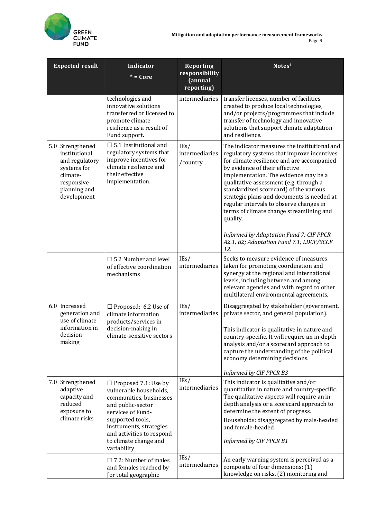

| <b>Expected result</b>                                                                                                      | <b>Indicator</b><br>$* = \overline{\text{Core}}$                                                                                                                                                                                               | <b>Reporting</b><br>responsibility<br>(annual<br>reporting) | Notes <sup>4</sup>                                                                                                                                                                                                                                                                                                                                                                                                                                                                                                                                     |
|-----------------------------------------------------------------------------------------------------------------------------|------------------------------------------------------------------------------------------------------------------------------------------------------------------------------------------------------------------------------------------------|-------------------------------------------------------------|--------------------------------------------------------------------------------------------------------------------------------------------------------------------------------------------------------------------------------------------------------------------------------------------------------------------------------------------------------------------------------------------------------------------------------------------------------------------------------------------------------------------------------------------------------|
|                                                                                                                             | technologies and<br>innovative solutions<br>transferred or licensed to<br>promote climate<br>resilience as a result of<br>Fund support.                                                                                                        | intermediaries                                              | transfer licenses, number of facilities<br>created to produce local technologies,<br>and/or projects/programmes that include<br>transfer of technology and innovative<br>solutions that support climate adaptation<br>and resilience.                                                                                                                                                                                                                                                                                                                  |
| 5.0 Strengthened<br>institutional<br>and regulatory<br>systems for<br>climate-<br>responsive<br>planning and<br>development | $\Box$ 5.1 Institutional and<br>regulatory systems that<br>improve incentives for<br>climate resilience and<br>their effective<br>implementation.                                                                                              | IEs/<br>intermediaries<br>/country                          | The indicator measures the institutional and<br>regulatory systems that improve incentives<br>for climate resilience and are accompanied<br>by evidence of their effective<br>implementation. The evidence may be a<br>qualitative assessment (e.g. through a<br>standardized scorecard) of the various<br>strategic plans and documents is needed at<br>regular intervals to observe changes in<br>terms of climate change streamlining and<br>quality.<br>Informed by Adaptation Fund 7; CIF PPCR<br>A2.1, B2; Adaptation Fund 7.1; LDCF/SCCF<br>12. |
|                                                                                                                             | $\square$ 5.2 Number and level<br>of effective coordination<br>mechanisms                                                                                                                                                                      | IEs/<br>intermediaries                                      | Seeks to measure evidence of measures<br>taken for promoting coordination and<br>synergy at the regional and international<br>levels, including between and among<br>relevant agencies and with regard to other<br>multilateral environmental agreements.                                                                                                                                                                                                                                                                                              |
| 6.0 Increased<br>generation and<br>use of climate<br>information in<br>decision-<br>making                                  | $\Box$ Proposed: 6.2 Use of<br>climate information<br>products/services in<br>decision-making in<br>climate-sensitive sectors                                                                                                                  | IEs/<br>intermediaries                                      | Disaggregated by stakeholder (government,<br>private sector, and general population).<br>This indicator is qualitative in nature and<br>country-specific. It will require an in-depth<br>analysis and/or a scorecard approach to<br>capture the understanding of the political<br>economy determining decisions.<br>Informed by CIF PPCR B3                                                                                                                                                                                                            |
| 7.0 Strengthened<br>adaptive<br>capacity and<br>reduced<br>exposure to<br>climate risks                                     | $\Box$ Proposed 7.1: Use by<br>vulnerable households,<br>communities, businesses<br>and public-sector<br>services of Fund-<br>supported tools,<br>instruments, strategies<br>and activities to respond<br>to climate change and<br>variability | IEs/<br>intermediaries                                      | This indicator is qualitative and/or<br>quantitative in nature and country-specific.<br>The qualitative aspects will require an in-<br>depth analysis or a scorecard approach to<br>determine the extent of progress.<br>Households: disaggregated by male-headed<br>and female-headed<br>Informed by CIF PPCR B1                                                                                                                                                                                                                                      |
|                                                                                                                             | $\square$ 7.2: Number of males<br>and females reached by<br>[or total geographic                                                                                                                                                               | IEs/<br>intermediaries                                      | An early warning system is perceived as a<br>composite of four dimensions: (1)<br>knowledge on risks, (2) monitoring and                                                                                                                                                                                                                                                                                                                                                                                                                               |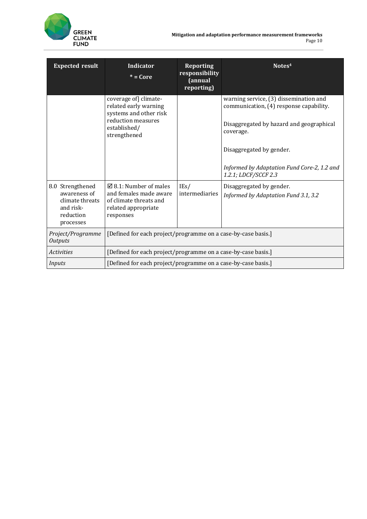**Mitigation and adaptation performance measurement frameworks** Page 10



| <b>Expected result</b>                                                                     | <b>Indicator</b><br>$* = Core$                                                                                                | <b>Reporting</b><br>responsibility<br>(annual<br>reporting) | Notes <sup>4</sup>                                                                                                                         |
|--------------------------------------------------------------------------------------------|-------------------------------------------------------------------------------------------------------------------------------|-------------------------------------------------------------|--------------------------------------------------------------------------------------------------------------------------------------------|
|                                                                                            | coverage of climate-<br>related early warning<br>systems and other risk<br>reduction measures<br>established/<br>strengthened |                                                             | warning service, (3) dissemination and<br>communication, (4) response capability.<br>Disaggregated by hazard and geographical<br>coverage. |
|                                                                                            |                                                                                                                               |                                                             | Disaggregated by gender.<br>Informed by Adaptation Fund Core-2, 1.2 and<br>1.2.1; LDCF/SCCF 2.3                                            |
| 8.0 Strengthened<br>awareness of<br>climate threats<br>and risk-<br>reduction<br>processes | $\boxtimes$ 8.1: Number of males<br>and females made aware<br>of climate threats and<br>related appropriate<br>responses      | IEs/<br>intermediaries                                      | Disaggregated by gender.<br>Informed by Adaptation Fund 3.1, 3.2                                                                           |
| Project/Programme<br><b>Outputs</b>                                                        | [Defined for each project/programme on a case-by-case basis.]                                                                 |                                                             |                                                                                                                                            |
| <i>Activities</i>                                                                          | [Defined for each project/programme on a case-by-case basis.]                                                                 |                                                             |                                                                                                                                            |
| Inputs                                                                                     | [Defined for each project/programme on a case-by-case basis.]                                                                 |                                                             |                                                                                                                                            |